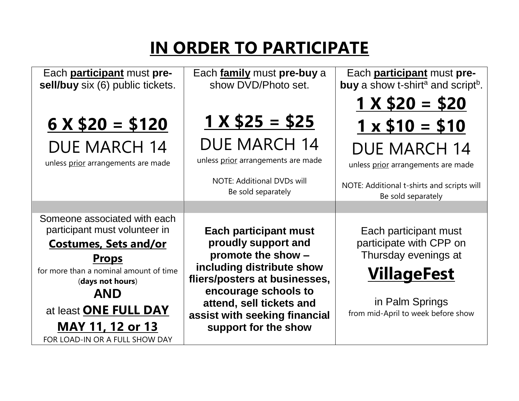# **IN ORDER TO PARTICIPATE**

| Each <b>participant</b> must pre-                          | Each family must pre-buy a                                 | Each <b>participant</b> must pre-                                |
|------------------------------------------------------------|------------------------------------------------------------|------------------------------------------------------------------|
| sell/buy six (6) public tickets.                           | show DVD/Photo set.                                        | <b>buy</b> a show t-shirt <sup>a</sup> and script <sup>b</sup> . |
|                                                            |                                                            | $1 \times $20 = $20$                                             |
| $6 \times $20 = $120$                                      | $1 X $25 = $25$                                            | $1 \times $10 = $10$                                             |
| <b>DUE MARCH 14</b>                                        | <b>DUE MARCH 14</b>                                        | <b>DUE MARCH 14</b>                                              |
| unless prior arrangements are made                         | unless prior arrangements are made                         | unless prior arrangements are made                               |
|                                                            | <b>NOTE: Additional DVDs will</b><br>Be sold separately    | NOTE: Additional t-shirts and scripts will<br>Be sold separately |
|                                                            |                                                            |                                                                  |
| Someone associated with each                               |                                                            |                                                                  |
| participant must volunteer in                              | <b>Each participant must</b>                               | Each participant must                                            |
| <b>Costumes, Sets and/or</b>                               | proudly support and                                        | participate with CPP on                                          |
| <u>Props</u>                                               | promote the show -                                         | Thursday evenings at                                             |
| for more than a nominal amount of time<br>(days not hours) | including distribute show<br>fliers/posters at businesses, | <b>VillageFest</b>                                               |
| <b>AND</b>                                                 | encourage schools to                                       |                                                                  |
| at least ONE FULL DAY                                      | attend, sell tickets and                                   | in Palm Springs<br>from mid-April to week before show            |
| MAY 11, 12 or 13                                           | assist with seeking financial<br>support for the show      |                                                                  |
|                                                            |                                                            |                                                                  |
| FOR LOAD-IN OR A FULL SHOW DAY                             |                                                            |                                                                  |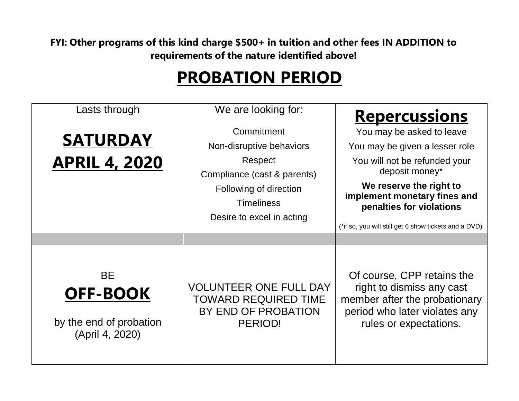**FYI: Other programs of this kind charge \$500+ in tuition and other fees IN ADDITION to requirements of the nature identified above!**

## **PROBATION PERIOD**

| Lasts through<br><b>SATURDAY</b><br><b>APRIL 4, 2020</b>                   | We are looking for:<br>Commitment<br>Non-disruptive behaviors<br>Respect<br>Compliance (cast & parents)<br>Following of direction<br><b>Timeliness</b><br>Desire to excel in acting | <u>Repercussions</u><br>You may be asked to leave<br>You may be given a lesser role<br>You will not be refunded your<br>deposit money*<br>We reserve the right to<br>implement monetary fines and<br>penalties for violations<br>(*if so, you will still get 6 show tickets and a DVD) |
|----------------------------------------------------------------------------|-------------------------------------------------------------------------------------------------------------------------------------------------------------------------------------|----------------------------------------------------------------------------------------------------------------------------------------------------------------------------------------------------------------------------------------------------------------------------------------|
| <b>BE</b><br><b>OFF-BOOK</b><br>by the end of probation<br>(April 4, 2020) | <b>VOLUNTEER ONE FULL DAY</b><br>TOWARD REQUIRED TIME<br>BY END OF PROBATION<br>PERIOD!                                                                                             | Of course, CPP retains the<br>right to dismiss any cast<br>member after the probationary<br>period who later violates any<br>rules or expectations.                                                                                                                                    |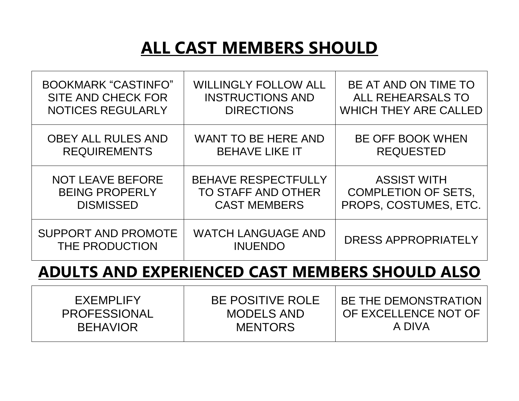## **ALL CAST MEMBERS SHOULD**

| <b>BOOKMARK "CASTINFO"</b>                   | <b>WILLINGLY FOLLOW ALL</b>                 | BE AT AND ON TIME TO         |
|----------------------------------------------|---------------------------------------------|------------------------------|
| SITE AND CHECK FOR                           | <b>INSTRUCTIONS AND</b>                     | ALL REHEARSALS TO            |
| <b>NOTICES REGULARLY</b>                     | <b>DIRECTIONS</b>                           | <b>WHICH THEY ARE CALLED</b> |
| <b>OBEY ALL RULES AND</b>                    | <b>WANT TO BE HERE AND</b>                  | <b>BE OFF BOOK WHEN</b>      |
| <b>REQUIREMENTS</b>                          | <b>BEHAVE LIKE IT</b>                       | <b>REQUESTED</b>             |
| <b>NOT LEAVE BEFORE</b>                      | <b>BEHAVE RESPECTFULLY</b>                  | <b>ASSIST WITH</b>           |
| <b>BEING PROPERLY</b>                        | TO STAFF AND OTHER                          | <b>COMPLETION OF SETS,</b>   |
| <b>DISMISSED</b>                             | <b>CAST MEMBERS</b>                         | PROPS, COSTUMES, ETC.        |
| <b>SUPPORT AND PROMOTE</b><br>THE PRODUCTION | <b>WATCH LANGUAGE AND</b><br><b>INUENDO</b> | <b>DRESS APPROPRIATELY</b>   |

#### **ADULTS AND EXPERIENCED CAST MEMBERS SHOULD ALSO**

| <b>BE POSITIVE ROLE</b> | BE THE DEMONSTRATION |
|-------------------------|----------------------|
| <b>MODELS AND</b>       | OF EXCELLENCE NOT OF |
| <b>MENTORS</b>          | A DIVA               |
|                         |                      |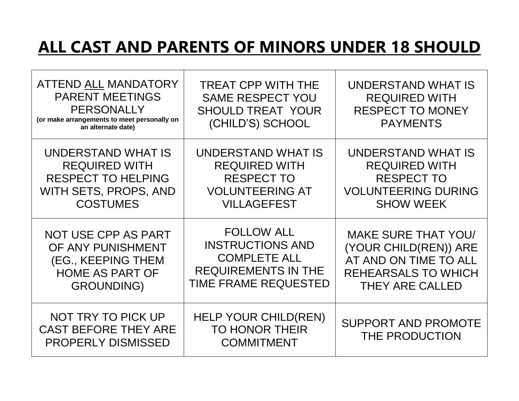### **ALL CAST AND PARENTS OF MINORS UNDER 18 SHOULD**

| <b>ATTEND ALL MANDATORY</b><br><b>PARENT MEETINGS</b><br><b>PERSONALLY</b><br>(or make arrangements to meet personally on<br>an alternate date) | <b>TREAT CPP WITH THE</b><br><b>SAME RESPECT YOU</b><br><b>SHOULD TREAT YOUR</b><br>(CHILD'S) SCHOOL | UNDERSTAND WHAT IS<br><b>REQUIRED WITH</b><br><b>RESPECT TO MONEY</b><br><b>PAYMENTS</b> |
|-------------------------------------------------------------------------------------------------------------------------------------------------|------------------------------------------------------------------------------------------------------|------------------------------------------------------------------------------------------|
| UNDERSTAND WHAT IS                                                                                                                              | UNDERSTAND WHAT IS                                                                                   | UNDERSTAND WHAT IS                                                                       |
| <b>REQUIRED WITH</b>                                                                                                                            | <b>REQUIRED WITH</b>                                                                                 | <b>REQUIRED WITH</b>                                                                     |
| <b>RESPECT TO HELPING</b>                                                                                                                       | <b>RESPECT TO</b>                                                                                    | <b>RESPECT TO</b>                                                                        |
| WITH SETS, PROPS, AND                                                                                                                           | <b>VOLUNTEERING AT</b>                                                                               | <b>VOLUNTEERING DURING</b>                                                               |
| <b>COSTUMES</b>                                                                                                                                 | <b>VILLAGEFEST</b>                                                                                   | <b>SHOW WEEK</b>                                                                         |
| NOT USE CPP AS PART                                                                                                                             | <b>FOLLOW ALL</b>                                                                                    | <b>MAKE SURE THAT YOU/</b>                                                               |
| OF ANY PUNISHMENT                                                                                                                               | <b>INSTRUCTIONS AND</b>                                                                              | (YOUR CHILD(REN)) ARE                                                                    |
| (EG., KEEPING THEM                                                                                                                              | <b>COMPLETE ALL</b>                                                                                  | AT AND ON TIME TO ALL                                                                    |
| <b>HOME AS PART OF</b>                                                                                                                          | <b>REQUIREMENTS IN THE</b>                                                                           | <b>REHEARSALS TO WHICH</b>                                                               |
| <b>GROUNDING)</b>                                                                                                                               | <b>TIME FRAME REQUESTED</b>                                                                          | <b>THEY ARE CALLED</b>                                                                   |
| NOT TRY TO PICK UP<br><b>CAST BEFORE THEY ARE</b><br><b>PROPERLY DISMISSED</b>                                                                  | <b>HELP YOUR CHILD(REN)</b><br><b>TO HONOR THEIR</b><br><b>COMMITMENT</b>                            | <b>SUPPORT AND PROMOTE</b><br>THE PRODUCTION                                             |